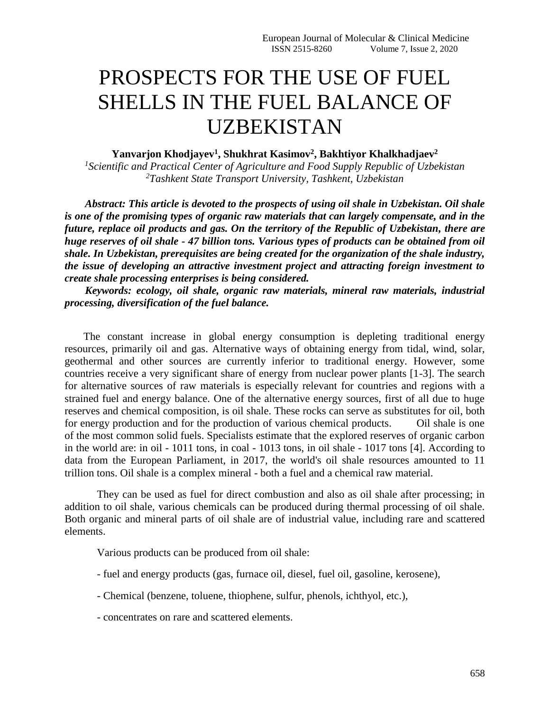## PROSPECTS FOR THE USE OF FUEL SHELLS IN THE FUEL BALANCE OF UZBEKISTAN

**Yanvarjon Khodjayev<sup>1</sup> , Shukhrat Kasimov<sup>2</sup> , Bakhtiyor Khalkhadjaev<sup>2</sup>**

*1 Scientific and Practical Center of Agriculture and Food Supply Republic of Uzbekistan <sup>2</sup>Tashkent State Transport University, Tashkent, Uzbekistan*

*Abstract: This article is devoted to the prospects of using oil shale in Uzbekistan. Oil shale is one of the promising types of organic raw materials that can largely compensate, and in the future, replace oil products and gas. On the territory of the Republic of Uzbekistan, there are huge reserves of oil shale - 47 billion tons. Various types of products can be obtained from oil shale. In Uzbekistan, prerequisites are being created for the organization of the shale industry, the issue of developing an attractive investment project and attracting foreign investment to create shale processing enterprises is being considered.*

*Keywords: ecology, oil shale, organic raw materials, mineral raw materials, industrial processing, diversification of the fuel balance.*

 The constant increase in global energy consumption is depleting traditional energy resources, primarily oil and gas. Alternative ways of obtaining energy from tidal, wind, solar, geothermal and other sources are currently inferior to traditional energy. However, some countries receive a very significant share of energy from nuclear power plants [1-3]. The search for alternative sources of raw materials is especially relevant for countries and regions with a strained fuel and energy balance. One of the alternative energy sources, first of all due to huge reserves and chemical composition, is oil shale. These rocks can serve as substitutes for oil, both for energy production and for the production of various chemical products. Oil shale is one of the most common solid fuels. Specialists estimate that the explored reserves of organic carbon in the world are: in oil - 1011 tons, in coal - 1013 tons, in oil shale - 1017 tons [4]. According to data from the European Parliament, in 2017, the world's oil shale resources amounted to 11 trillion tons. Oil shale is a complex mineral - both a fuel and a chemical raw material.

They can be used as fuel for direct combustion and also as oil shale after processing; in addition to oil shale, various chemicals can be produced during thermal processing of oil shale. Both organic and mineral parts of oil shale are of industrial value, including rare and scattered elements.

Various products can be produced from oil shale:

- fuel and energy products (gas, furnace oil, diesel, fuel oil, gasoline, kerosene),
- Chemical (benzene, toluene, thiophene, sulfur, phenols, ichthyol, etc.),
- concentrates on rare and scattered elements.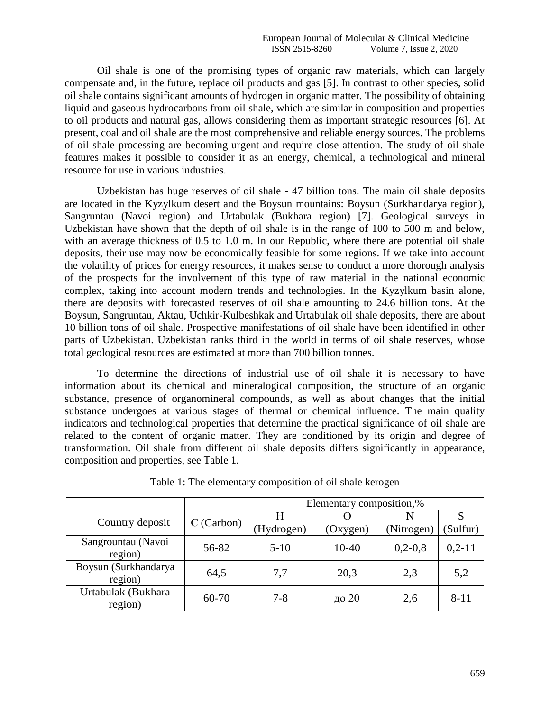Oil shale is one of the promising types of organic raw materials, which can largely compensate and, in the future, replace oil products and gas [5]. In contrast to other species, solid oil shale contains significant amounts of hydrogen in organic matter. The possibility of obtaining liquid and gaseous hydrocarbons from oil shale, which are similar in composition and properties to oil products and natural gas, allows considering them as important strategic resources [6]. At present, coal and oil shale are the most comprehensive and reliable energy sources. The problems of oil shale processing are becoming urgent and require close attention. The study of oil shale features makes it possible to consider it as an energy, chemical, a technological and mineral resource for use in various industries.

Uzbekistan has huge reserves of oil shale - 47 billion tons. The main oil shale deposits are located in the Kyzylkum desert and the Boysun mountains: Boysun (Surkhandarya region), Sangruntau (Navoi region) and Urtabulak (Bukhara region) [7]. Geological surveys in Uzbekistan have shown that the depth of oil shale is in the range of 100 to 500 m and below, with an average thickness of 0.5 to 1.0 m. In our Republic, where there are potential oil shale deposits, their use may now be economically feasible for some regions. If we take into account the volatility of prices for energy resources, it makes sense to conduct a more thorough analysis of the prospects for the involvement of this type of raw material in the national economic complex, taking into account modern trends and technologies. In the Kyzylkum basin alone, there are deposits with forecasted reserves of oil shale amounting to 24.6 billion tons. At the Boysun, Sangruntau, Aktau, Uchkir-Kulbeshkak and Urtabulak oil shale deposits, there are about 10 billion tons of oil shale. Prospective manifestations of oil shale have been identified in other parts of Uzbekistan. Uzbekistan ranks third in the world in terms of oil shale reserves, whose total geological resources are estimated at more than 700 billion tonnes.

To determine the directions of industrial use of oil shale it is necessary to have information about its chemical and mineralogical composition, the structure of an organic substance, presence of organomineral compounds, as well as about changes that the initial substance undergoes at various stages of thermal or chemical influence. The main quality indicators and technological properties that determine the practical significance of oil shale are related to the content of organic matter. They are conditioned by its origin and degree of transformation. Oil shale from different oil shale deposits differs significantly in appearance, composition and properties, see Table 1.

|                                 | Elementary composition,% |            |           |            |          |
|---------------------------------|--------------------------|------------|-----------|------------|----------|
| Country deposit                 | $C$ (Carbon)             |            |           |            | S        |
|                                 |                          | (Hydrogen) | (Oxygen)  | (Nitrogen) | (Sulfur) |
| Sangrountau (Navoi<br>region)   | 56-82                    | $5-10$     | $10 - 40$ | $0,2-0,8$  | $0,2-11$ |
| Boysun (Surkhandarya<br>region) | 64,5                     | 7,7        | 20,3      | 2,3        | 5,2      |
| Urtabulak (Bukhara<br>region)   | 60-70                    | $7 - 8$    | до 20     | 2,6        | $8 - 11$ |

Table 1: The elementary composition of oil shale kerogen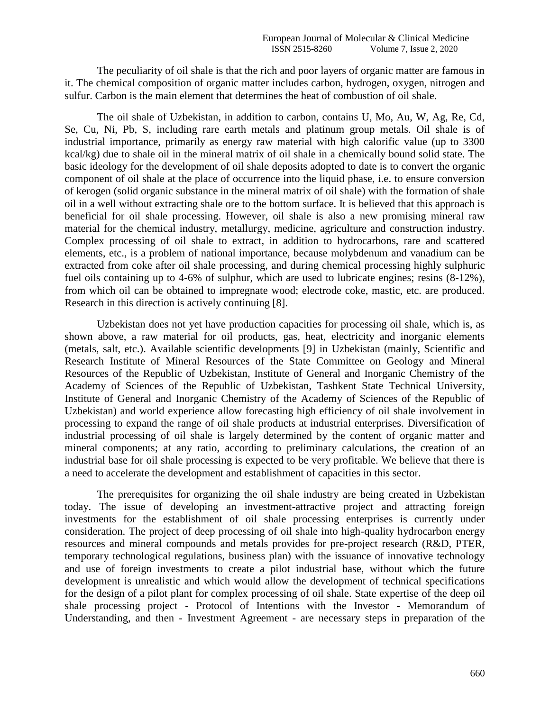The peculiarity of oil shale is that the rich and poor layers of organic matter are famous in it. The chemical composition of organic matter includes carbon, hydrogen, oxygen, nitrogen and sulfur. Carbon is the main element that determines the heat of combustion of oil shale.

The oil shale of Uzbekistan, in addition to carbon, contains U, Mo, Au, W, Ag, Re, Cd, Se, Cu, Ni, Pb, S, including rare earth metals and platinum group metals. Oil shale is of industrial importance, primarily as energy raw material with high calorific value (up to 3300 kcal/kg) due to shale oil in the mineral matrix of oil shale in a chemically bound solid state. The basic ideology for the development of oil shale deposits adopted to date is to convert the organic component of oil shale at the place of occurrence into the liquid phase, i.e. to ensure conversion of kerogen (solid organic substance in the mineral matrix of oil shale) with the formation of shale oil in a well without extracting shale ore to the bottom surface. It is believed that this approach is beneficial for oil shale processing. However, oil shale is also a new promising mineral raw material for the chemical industry, metallurgy, medicine, agriculture and construction industry. Complex processing of oil shale to extract, in addition to hydrocarbons, rare and scattered elements, etc., is a problem of national importance, because molybdenum and vanadium can be extracted from coke after oil shale processing, and during chemical processing highly sulphuric fuel oils containing up to 4-6% of sulphur, which are used to lubricate engines; resins (8-12%), from which oil can be obtained to impregnate wood; electrode coke, mastic, etc. are produced. Research in this direction is actively continuing [8].

Uzbekistan does not yet have production capacities for processing oil shale, which is, as shown above, a raw material for oil products, gas, heat, electricity and inorganic elements (metals, salt, etc.). Available scientific developments [9] in Uzbekistan (mainly, Scientific and Research Institute of Mineral Resources of the State Committee on Geology and Mineral Resources of the Republic of Uzbekistan, Institute of General and Inorganic Chemistry of the Academy of Sciences of the Republic of Uzbekistan, Tashkent State Technical University, Institute of General and Inorganic Chemistry of the Academy of Sciences of the Republic of Uzbekistan) and world experience allow forecasting high efficiency of oil shale involvement in processing to expand the range of oil shale products at industrial enterprises. Diversification of industrial processing of oil shale is largely determined by the content of organic matter and mineral components; at any ratio, according to preliminary calculations, the creation of an industrial base for oil shale processing is expected to be very profitable. We believe that there is a need to accelerate the development and establishment of capacities in this sector.

The prerequisites for organizing the oil shale industry are being created in Uzbekistan today. The issue of developing an investment-attractive project and attracting foreign investments for the establishment of oil shale processing enterprises is currently under consideration. The project of deep processing of oil shale into high-quality hydrocarbon energy resources and mineral compounds and metals provides for pre-project research (R&D, PTER, temporary technological regulations, business plan) with the issuance of innovative technology and use of foreign investments to create a pilot industrial base, without which the future development is unrealistic and which would allow the development of technical specifications for the design of a pilot plant for complex processing of oil shale. State expertise of the deep oil shale processing project - Protocol of Intentions with the Investor - Memorandum of Understanding, and then - Investment Agreement - are necessary steps in preparation of the